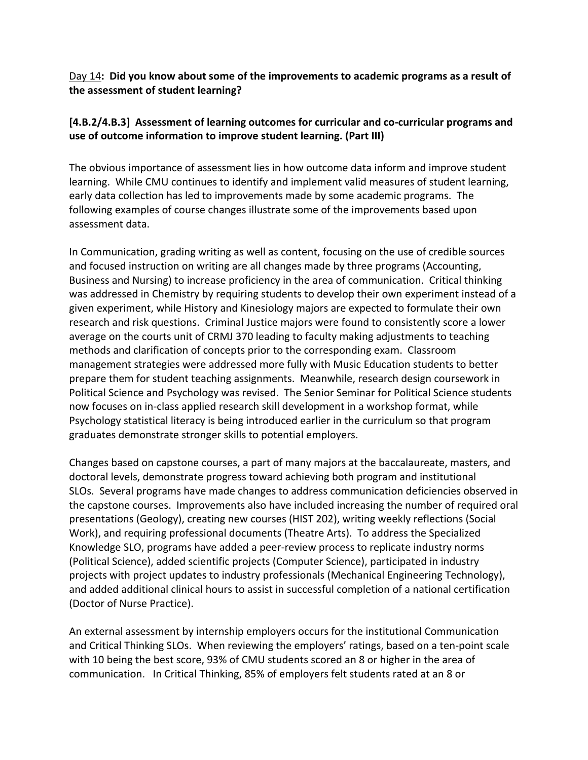Day 14**: Did you know about some of the improvements to academic programs as a result of the assessment of student learning?**

## **[4.B.2/4.B.3] Assessment of learning outcomes for curricular and co‐curricular programs and use of outcome information to improve student learning. (Part III)**

The obvious importance of assessment lies in how outcome data inform and improve student learning. While CMU continues to identify and implement valid measures of student learning, early data collection has led to improvements made by some academic programs. The following examples of course changes illustrate some of the improvements based upon assessment data.

In Communication, grading writing as well as content, focusing on the use of credible sources and focused instruction on writing are all changes made by three programs (Accounting, Business and Nursing) to increase proficiency in the area of communication. Critical thinking was addressed in Chemistry by requiring students to develop their own experiment instead of a given experiment, while History and Kinesiology majors are expected to formulate their own research and risk questions. Criminal Justice majors were found to consistently score a lower average on the courts unit of CRMJ 370 leading to faculty making adjustments to teaching methods and clarification of concepts prior to the corresponding exam. Classroom management strategies were addressed more fully with Music Education students to better prepare them for student teaching assignments. Meanwhile, research design coursework in Political Science and Psychology was revised. The Senior Seminar for Political Science students now focuses on in‐class applied research skill development in a workshop format, while Psychology statistical literacy is being introduced earlier in the curriculum so that program graduates demonstrate stronger skills to potential employers.

Changes based on capstone courses, a part of many majors at the baccalaureate, masters, and doctoral levels, demonstrate progress toward achieving both program and institutional SLOs. Several programs have made changes to address communication deficiencies observed in the capstone courses. Improvements also have included increasing the number of required oral presentations (Geology), creating new courses (HIST 202), writing weekly reflections (Social Work), and requiring professional documents (Theatre Arts). To address the Specialized Knowledge SLO, programs have added a peer‐review process to replicate industry norms (Political Science), added scientific projects (Computer Science), participated in industry projects with project updates to industry professionals (Mechanical Engineering Technology), and added additional clinical hours to assist in successful completion of a national certification (Doctor of Nurse Practice).

An external assessment by internship employers occurs for the institutional Communication and Critical Thinking SLOs. When reviewing the employers' ratings, based on a ten‐point scale with 10 being the best score, 93% of CMU students scored an 8 or higher in the area of communication. In Critical Thinking, 85% of employers felt students rated at an 8 or